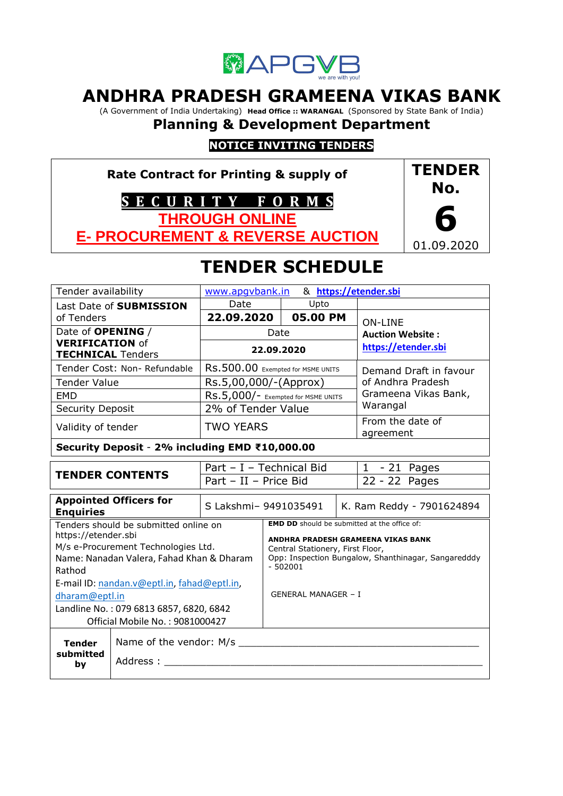

# **ANDHRA PRADESH GRAMEENA VIKAS BANK**

(A Government of India Undertaking) **Head Office :: WARANGAL** (Sponsored by State Bank of India)

# **Planning & Development Department**

# **NOTICE INVITING TENDERS**

**Rate Contract for Printing & supply of S E C U R I T Y F O R M S THROUGH ONLINE** 

**E- PROCUREMENT & REVERSE AUCTION**



# **TENDER SCHEDULE**

| Tender availability                                                                                                                                                                                       |                                                | www.apgybank.in                    |                                                                                                                                                                                                   |                            |                           | & https://etender.sbi         |  |
|-----------------------------------------------------------------------------------------------------------------------------------------------------------------------------------------------------------|------------------------------------------------|------------------------------------|---------------------------------------------------------------------------------------------------------------------------------------------------------------------------------------------------|----------------------------|---------------------------|-------------------------------|--|
| Last Date of SUBMISSION                                                                                                                                                                                   |                                                | Date                               |                                                                                                                                                                                                   | Upto                       |                           |                               |  |
| of Tenders                                                                                                                                                                                                |                                                |                                    | 22.09.2020<br>05.00 PM                                                                                                                                                                            |                            |                           | <b>ON-LINE</b>                |  |
| Date of <b>OPENING</b> /                                                                                                                                                                                  |                                                |                                    | Date                                                                                                                                                                                              |                            |                           | <b>Auction Website:</b>       |  |
| <b>VERIFICATION of</b><br><b>TECHNICAL Tenders</b>                                                                                                                                                        |                                                | 22.09.2020                         |                                                                                                                                                                                                   |                            | https://etender.sbi       |                               |  |
|                                                                                                                                                                                                           | Tender Cost: Non-Refundable                    | RS.500.00 Exempted for MSME UNITS  |                                                                                                                                                                                                   |                            | Demand Draft in favour    |                               |  |
| <b>Tender Value</b>                                                                                                                                                                                       |                                                | Rs.5,00,000/-(Approx)              |                                                                                                                                                                                                   |                            |                           | of Andhra Pradesh             |  |
| <b>EMD</b>                                                                                                                                                                                                |                                                | RS.5,000/- Exempted for MSME UNITS |                                                                                                                                                                                                   |                            |                           | Grameena Vikas Bank,          |  |
| <b>Security Deposit</b>                                                                                                                                                                                   |                                                | 2% of Tender Value                 |                                                                                                                                                                                                   |                            |                           | Warangal                      |  |
| Validity of tender                                                                                                                                                                                        |                                                | <b>TWO YEARS</b>                   |                                                                                                                                                                                                   |                            |                           | From the date of<br>agreement |  |
|                                                                                                                                                                                                           | Security Deposit - 2% including EMD ₹10,000.00 |                                    |                                                                                                                                                                                                   |                            |                           |                               |  |
|                                                                                                                                                                                                           |                                                | Part - I - Technical Bid           |                                                                                                                                                                                                   |                            | $1 - 21$ Pages            |                               |  |
|                                                                                                                                                                                                           | <b>TENDER CONTENTS</b>                         | Part - II - Price Bid              |                                                                                                                                                                                                   |                            | 22 - 22 Pages             |                               |  |
| <b>Appointed Officers for</b><br><b>Enquiries</b>                                                                                                                                                         |                                                |                                    | S Lakshmi- 9491035491                                                                                                                                                                             |                            | K. Ram Reddy - 7901624894 |                               |  |
| Tenders should be submitted online on<br>https://etender.sbi<br>M/s e-Procurement Technologies Ltd.<br>Name: Nanadan Valera, Fahad Khan & Dharam<br>Rathod<br>E-mail ID: nandan.v@eptl.in, fahad@eptl.in, |                                                |                                    | <b>EMD DD</b> should be submitted at the office of:<br>ANDHRA PRADESH GRAMEENA VIKAS BANK<br>Central Stationery, First Floor,<br>Opp: Inspection Bungalow, Shanthinagar, Sangaredddy<br>$-502001$ |                            |                           |                               |  |
| dharam@eptl.in<br>Landline No.: 079 6813 6857, 6820, 6842                                                                                                                                                 |                                                |                                    |                                                                                                                                                                                                   | <b>GENERAL MANAGER - I</b> |                           |                               |  |
| Official Mobile No.: 9081000427                                                                                                                                                                           |                                                |                                    |                                                                                                                                                                                                   |                            |                           |                               |  |
| Name of the vendor: M/s<br><b>Tender</b><br>submitted<br>Address:<br>by                                                                                                                                   |                                                |                                    |                                                                                                                                                                                                   |                            |                           |                               |  |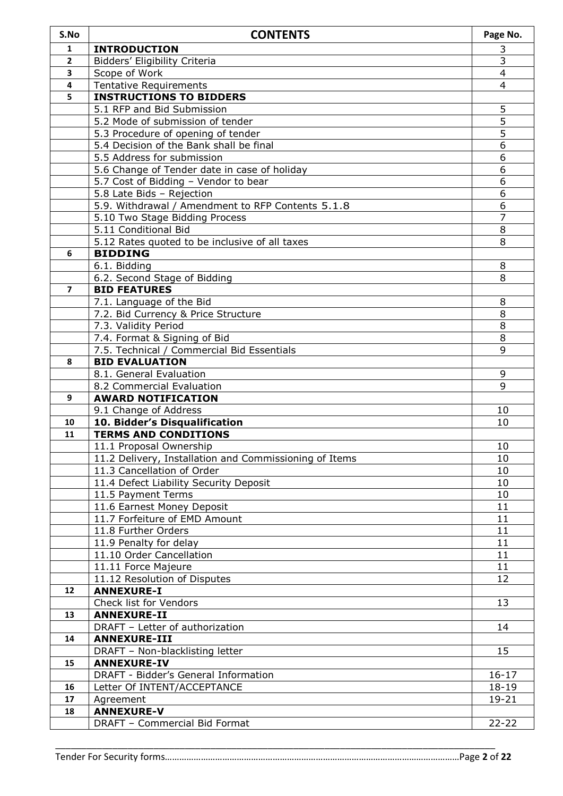| S.No           | <b>CONTENTS</b>                                              | Page No.       |
|----------------|--------------------------------------------------------------|----------------|
| 1              | <b>INTRODUCTION</b>                                          | 3              |
| 2              | Bidders' Eligibility Criteria                                | $\overline{3}$ |
| 3              | Scope of Work                                                | 4              |
| 4              | <b>Tentative Requirements</b>                                | 4              |
| 5              | <b>INSTRUCTIONS TO BIDDERS</b>                               |                |
|                | 5.1 RFP and Bid Submission                                   | 5              |
|                | 5.2 Mode of submission of tender                             | $\overline{5}$ |
|                | 5.3 Procedure of opening of tender                           | 5              |
|                | 5.4 Decision of the Bank shall be final                      | $\overline{6}$ |
|                | 5.5 Address for submission                                   | 6              |
|                | 5.6 Change of Tender date in case of holiday                 | 6              |
|                | 5.7 Cost of Bidding - Vendor to bear                         | 6              |
|                | 5.8 Late Bids - Rejection                                    | 6              |
|                | 5.9. Withdrawal / Amendment to RFP Contents 5.1.8            | 6              |
|                | 5.10 Two Stage Bidding Process                               | 7              |
|                | 5.11 Conditional Bid                                         | 8              |
|                | 5.12 Rates quoted to be inclusive of all taxes               | 8              |
| 6              | <b>BIDDING</b>                                               |                |
|                | 6.1. Bidding                                                 | 8              |
|                | 6.2. Second Stage of Bidding                                 | 8              |
| $\overline{7}$ | <b>BID FEATURES</b>                                          |                |
|                | 7.1. Language of the Bid                                     | 8              |
|                | 7.2. Bid Currency & Price Structure                          | 8              |
|                | 7.3. Validity Period                                         | 8              |
|                | 7.4. Format & Signing of Bid                                 | 8              |
|                | 7.5. Technical / Commercial Bid Essentials                   | 9              |
| 8              | <b>BID EVALUATION</b>                                        |                |
|                | 8.1. General Evaluation                                      | 9              |
|                | 8.2 Commercial Evaluation                                    | 9              |
| 9              | <b>AWARD NOTIFICATION</b>                                    |                |
|                | 9.1 Change of Address                                        | 10             |
| 10<br>11       | 10. Bidder's Disqualification<br><b>TERMS AND CONDITIONS</b> | 10             |
|                | 11.1 Proposal Ownership                                      | 10             |
|                | 11.2 Delivery, Installation and Commissioning of Items       | 10             |
|                | 11.3 Cancellation of Order                                   | 10             |
|                | 11.4 Defect Liability Security Deposit                       | 10             |
|                | 11.5 Payment Terms                                           | 10             |
|                | 11.6 Earnest Money Deposit                                   | 11             |
|                | 11.7 Forfeiture of EMD Amount                                | 11             |
|                | 11.8 Further Orders                                          | 11             |
|                | 11.9 Penalty for delay                                       | 11             |
|                | 11.10 Order Cancellation                                     | 11             |
|                | 11.11 Force Majeure                                          | 11             |
|                | 11.12 Resolution of Disputes                                 | 12             |
| 12             | <b>ANNEXURE-I</b>                                            |                |
|                | Check list for Vendors                                       | 13             |
| 13             | <b>ANNEXURE-II</b>                                           |                |
|                | DRAFT - Letter of authorization                              | 14             |
| 14             | <b>ANNEXURE-III</b>                                          |                |
|                | DRAFT - Non-blacklisting letter                              | 15             |
| 15             | <b>ANNEXURE-IV</b>                                           |                |
|                | DRAFT - Bidder's General Information                         | $16 - 17$      |
| 16             | Letter Of INTENT/ACCEPTANCE                                  | $18 - 19$      |
| 17             | Agreement                                                    | 19-21          |
| 18             | <b>ANNEXURE-V</b>                                            |                |
|                | DRAFT - Commercial Bid Format                                | $22 - 22$      |
|                |                                                              |                |

 $\_$  , and the set of the set of the set of the set of the set of the set of the set of the set of the set of the set of the set of the set of the set of the set of the set of the set of the set of the set of the set of th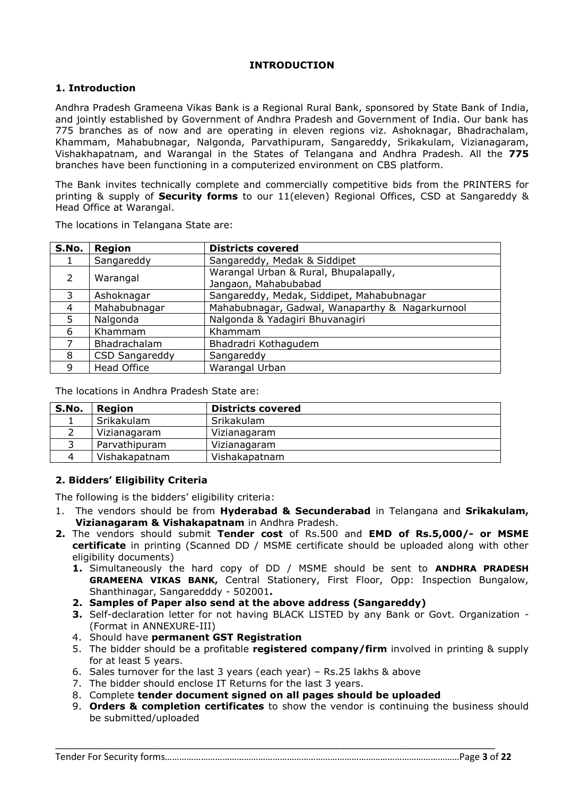# **INTRODUCTION**

# **1. Introduction**

Andhra Pradesh Grameena Vikas Bank is a Regional Rural Bank, sponsored by State Bank of India, and jointly established by Government of Andhra Pradesh and Government of India. Our bank has 775 branches as of now and are operating in eleven regions viz. Ashoknagar, Bhadrachalam, Khammam, Mahabubnagar, Nalgonda, Parvathipuram, Sangareddy, Srikakulam, Vizianagaram, Vishakhapatnam, and Warangal in the States of Telangana and Andhra Pradesh. All the **775** branches have been functioning in a computerized environment on CBS platform.

The Bank invites technically complete and commercially competitive bids from the PRINTERS for printing & supply of **Security forms** to our 11(eleven) Regional Offices, CSD at Sangareddy & Head Office at Warangal.

| S.No.         | <b>Region</b>         | <b>Districts covered</b>                                      |
|---------------|-----------------------|---------------------------------------------------------------|
|               | Sangareddy            | Sangareddy, Medak & Siddipet                                  |
| $\mathcal{P}$ | Warangal              | Warangal Urban & Rural, Bhupalapally,<br>Jangaon, Mahabubabad |
| 3             | Ashoknagar            | Sangareddy, Medak, Siddipet, Mahabubnagar                     |
| 4             | Mahabubnagar          | Mahabubnagar, Gadwal, Wanaparthy & Nagarkurnool               |
| 5             | Nalgonda              | Nalgonda & Yadagiri Bhuvanagiri                               |
| 6             | Khammam               | Khammam                                                       |
|               | Bhadrachalam          | Bhadradri Kothagudem                                          |
| 8             | <b>CSD Sangareddy</b> | Sangareddy                                                    |
| 9             | <b>Head Office</b>    | Warangal Urban                                                |

The locations in Telangana State are:

The locations in Andhra Pradesh State are:

| S.No. | <b>Region</b> | <b>Districts covered</b> |
|-------|---------------|--------------------------|
|       | Srikakulam    | Srikakulam               |
|       | Vizianagaram  | Vizianagaram             |
|       | Parvathipuram | Vizianagaram             |
|       | Vishakapatnam | Vishakapatnam            |

#### **2. Bidders' Eligibility Criteria**

The following is the bidders' eligibility criteria:

- 1. The vendors should be from **Hyderabad & Secunderabad** in Telangana and **Srikakulam, Vizianagaram & Vishakapatnam** in Andhra Pradesh.
- **2.** The vendors should submit **Tender cost** of Rs.500 and **EMD of Rs.5,000/- or MSME certificate** in printing (Scanned DD / MSME certificate should be uploaded along with other eligibility documents)
	- **1.** Simultaneously the hard copy of DD / MSME should be sent to **ANDHRA PRADESH GRAMEENA VIKAS BANK,** Central Stationery, First Floor, Opp: Inspection Bungalow, Shanthinagar, Sangaredddy - 502001**.**
	- **2. Samples of Paper also send at the above address (Sangareddy)**
	- **3.** Self-declaration letter for not having BLACK LISTED by any Bank or Govt. Organization (Format in ANNEXURE-III)
	- 4. Should have **permanent GST Registration**
	- 5. The bidder should be a profitable **registered company/firm** involved in printing & supply for at least 5 years.
	- 6. Sales turnover for the last 3 years (each year) Rs.25 lakhs & above
	- 7. The bidder should enclose IT Returns for the last 3 years.
	- 8. Complete **tender document signed on all pages should be uploaded**

\_\_\_\_\_\_\_\_\_\_\_\_\_\_\_\_\_\_\_\_\_\_\_\_\_\_\_\_\_\_\_\_\_\_\_\_\_\_\_\_\_\_\_\_\_\_\_\_\_\_\_\_\_\_\_\_\_\_\_\_\_\_\_\_\_\_\_\_\_\_\_\_\_\_\_\_\_\_\_\_\_\_\_\_\_

9. **Orders & completion certificates** to show the vendor is continuing the business should be submitted/uploaded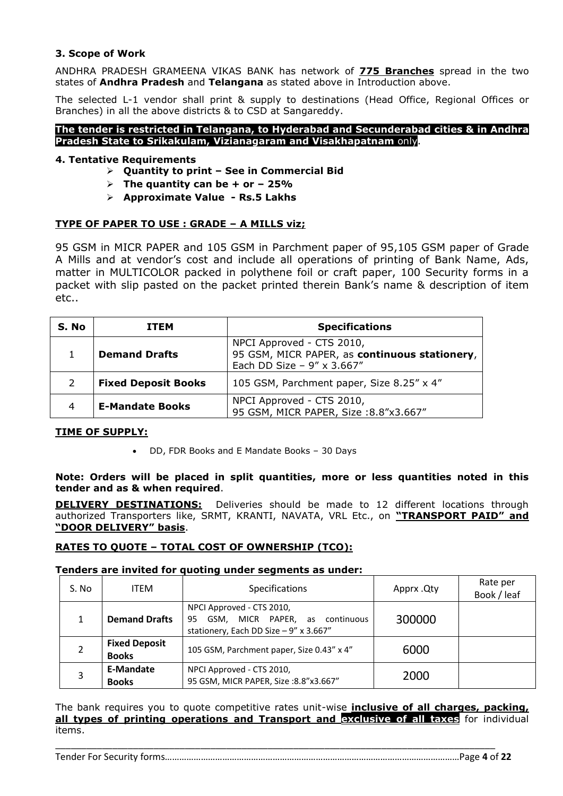## **3. Scope of Work**

ANDHRA PRADESH GRAMEENA VIKAS BANK has network of **775 Branches** spread in the two states of **Andhra Pradesh** and **Telangana** as stated above in Introduction above.

The selected L-1 vendor shall print & supply to destinations (Head Office, Regional Offices or Branches) in all the above districts & to CSD at Sangareddy.

#### **The tender is restricted in Telangana, to Hyderabad and Secunderabad cities & in Andhra Pradesh State to Srikakulam, Vizianagaram and Visakhapatnam** only.

### **4. Tentative Requirements**

- **Quantity to print – See in Commercial Bid**
- $\triangleright$  The quantity can be + or 25%
- **Approximate Value - Rs.5 Lakhs**

### **TYPE OF PAPER TO USE : GRADE – A MILLS viz;**

95 GSM in MICR PAPER and 105 GSM in Parchment paper of 95,105 GSM paper of Grade A Mills and at vendor's cost and include all operations of printing of Bank Name, Ads, matter in MULTICOLOR packed in polythene foil or craft paper, 100 Security forms in a packet with slip pasted on the packet printed therein Bank's name & description of item etc..

| S. No | <b>ITEM</b>                | <b>Specifications</b>                                                                                    |
|-------|----------------------------|----------------------------------------------------------------------------------------------------------|
|       | <b>Demand Drafts</b>       | NPCI Approved - CTS 2010,<br>95 GSM, MICR PAPER, as continuous stationery,<br>Each DD Size - 9" x 3.667" |
|       | <b>Fixed Deposit Books</b> | 105 GSM, Parchment paper, Size 8.25" x 4"                                                                |
| 4     | <b>E-Mandate Books</b>     | NPCI Approved - CTS 2010,<br>95 GSM, MICR PAPER, Size: 8.8"x3.667"                                       |

#### **TIME OF SUPPLY:**

DD, FDR Books and E Mandate Books – 30 Days

#### **Note: Orders will be placed in split quantities, more or less quantities noted in this tender and as & when required**.

**DELIVERY DESTINATIONS:** Deliveries should be made to 12 different locations through authorized Transporters like, SRMT, KRANTI, NAVATA, VRL Etc., on **"TRANSPORT PAID" and "DOOR DELIVERY" basis**.

#### **RATES TO QUOTE – TOTAL COST OF OWNERSHIP (TCO):**

#### **Tenders are invited for quoting under segments as under:**

| S. No | ITEM                                 | Specifications                                                                                              | Apprx .Qty | Rate per<br>Book / leaf |
|-------|--------------------------------------|-------------------------------------------------------------------------------------------------------------|------------|-------------------------|
|       | <b>Demand Drafts</b>                 | NPCI Approved - CTS 2010,<br>GSM, MICR PAPER, as continuous<br>95<br>stationery, Each DD Size - 9" x 3.667" | 300000     |                         |
|       | <b>Fixed Deposit</b><br><b>Books</b> | 105 GSM, Parchment paper, Size 0.43" x 4"                                                                   | 6000       |                         |
|       | <b>E-Mandate</b><br><b>Books</b>     | NPCI Approved - CTS 2010,<br>95 GSM, MICR PAPER, Size: 8.8"x3.667"                                          | 2000       |                         |

The bank requires you to quote competitive rates unit-wise **inclusive of all charges, packing, all types of printing operations and Transport and exclusive of all taxes** for individual items.

\_\_\_\_\_\_\_\_\_\_\_\_\_\_\_\_\_\_\_\_\_\_\_\_\_\_\_\_\_\_\_\_\_\_\_\_\_\_\_\_\_\_\_\_\_\_\_\_\_\_\_\_\_\_\_\_\_\_\_\_\_\_\_\_\_\_\_\_\_\_\_\_\_\_\_\_\_\_\_\_\_\_\_\_\_

Tender For Security forms……………………………………………………………………………………………………………Page **4** of **22**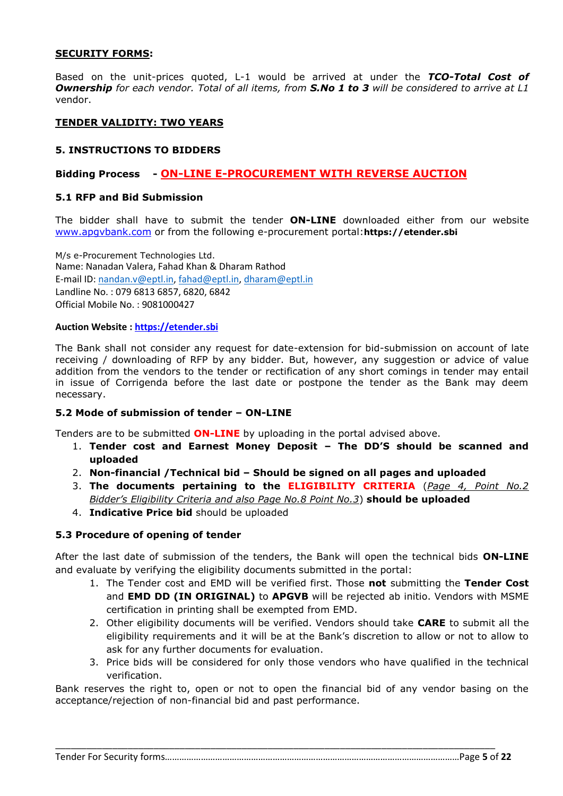#### **SECURITY FORMS:**

Based on the unit-prices quoted, L-1 would be arrived at under the *TCO-Total Cost of Ownership for each vendor. Total of all items, from S.No 1 to 3 will be considered to arrive at L1*  vendor.

# **TENDER VALIDITY: TWO YEARS**

# **5. INSTRUCTIONS TO BIDDERS**

# **Bidding Process - ON-LINE E-PROCUREMENT WITH REVERSE AUCTION**

### **5.1 RFP and Bid Submission**

The bidder shall have to submit the tender **ON-LINE** downloaded either from our website [www.apgvbank.com](http://www.apgvbank.com/) or from the following e-procurement portal:**https://etender.sbi**

M/s e-Procurement Technologies Ltd. Name: Nanadan Valera, Fahad Khan & Dharam Rathod E-mail ID: [nandan.v@eptl.in,](mailto:nandan.v@eptl.in) [fahad@eptl.in,](mailto:fahad@eptl.in) [dharam@eptl.in](mailto:dharam@eptl.in) Landline No. : 079 6813 6857, 6820, 6842 Official Mobile No. : 9081000427

#### **Auction Website [: https://etender.sbi](https://etender.sbi/)**

The Bank shall not consider any request for date-extension for bid-submission on account of late receiving / downloading of RFP by any bidder. But, however, any suggestion or advice of value addition from the vendors to the tender or rectification of any short comings in tender may entail in issue of Corrigenda before the last date or postpone the tender as the Bank may deem necessary.

#### **5.2 Mode of submission of tender – ON-LINE**

Tenders are to be submitted **ON-LINE** by uploading in the portal advised above.

- 1. **Tender cost and Earnest Money Deposit – The DD'S should be scanned and uploaded**
- 2. **Non-financial /Technical bid – Should be signed on all pages and uploaded**
- 3. **The documents pertaining to the ELIGIBILITY CRITERIA** (*Page 4, Point No.2 Bidder's Eligibility Criteria and also Page No.8 Point No.3*) **should be uploaded**
- 4. **Indicative Price bid** should be uploaded

#### **5.3 Procedure of opening of tender**

After the last date of submission of the tenders, the Bank will open the technical bids **ON-LINE** and evaluate by verifying the eligibility documents submitted in the portal:

- 1. The Tender cost and EMD will be verified first. Those **not** submitting the **Tender Cost** and **EMD DD (IN ORIGINAL)** to **APGVB** will be rejected ab initio. Vendors with MSME certification in printing shall be exempted from EMD.
- 2. Other eligibility documents will be verified. Vendors should take **CARE** to submit all the eligibility requirements and it will be at the Bank's discretion to allow or not to allow to ask for any further documents for evaluation.
- 3. Price bids will be considered for only those vendors who have qualified in the technical verification.

Bank reserves the right to, open or not to open the financial bid of any vendor basing on the acceptance/rejection of non-financial bid and past performance.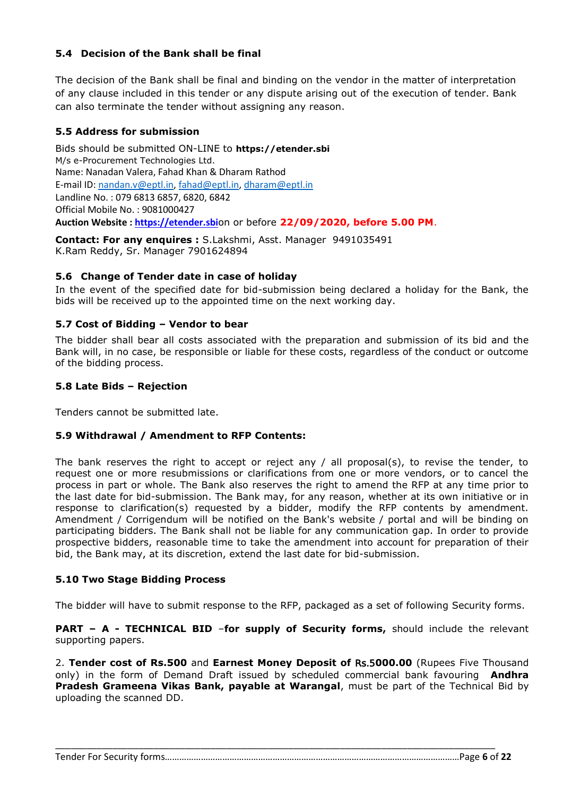# **5.4 Decision of the Bank shall be final**

The decision of the Bank shall be final and binding on the vendor in the matter of interpretation of any clause included in this tender or any dispute arising out of the execution of tender. Bank can also terminate the tender without assigning any reason.

# **5.5 Address for submission**

Bids should be submitted ON-LINE to **https://etender.sbi** M/s e-Procurement Technologies Ltd. Name: Nanadan Valera, Fahad Khan & Dharam Rathod E-mail ID: [nandan.v@eptl.in,](mailto:nandan.v@eptl.in) [fahad@eptl.in,](mailto:fahad@eptl.in) [dharam@eptl.in](mailto:dharam@eptl.in) Landline No. : 079 6813 6857, 6820, 6842 Official Mobile No. : 9081000427 **Auction Website [: https://etender.sbi](https://etender.sbi/)**on or before **22/09/2020, before 5.00 PM**.

**Contact: For any enquires :** S.Lakshmi, Asst. Manager 9491035491 K.Ram Reddy, Sr. Manager 7901624894

### **5.6 Change of Tender date in case of holiday**

In the event of the specified date for bid-submission being declared a holiday for the Bank, the bids will be received up to the appointed time on the next working day.

### **5.7 Cost of Bidding – Vendor to bear**

The bidder shall bear all costs associated with the preparation and submission of its bid and the Bank will, in no case, be responsible or liable for these costs, regardless of the conduct or outcome of the bidding process.

### **5.8 Late Bids – Rejection**

Tenders cannot be submitted late.

#### **5.9 Withdrawal / Amendment to RFP Contents:**

The bank reserves the right to accept or reject any / all proposal(s), to revise the tender, to request one or more resubmissions or clarifications from one or more vendors, or to cancel the process in part or whole. The Bank also reserves the right to amend the RFP at any time prior to the last date for bid-submission. The Bank may, for any reason, whether at its own initiative or in response to clarification(s) requested by a bidder, modify the RFP contents by amendment. Amendment / Corrigendum will be notified on the Bank's website / portal and will be binding on participating bidders. The Bank shall not be liable for any communication gap. In order to provide prospective bidders, reasonable time to take the amendment into account for preparation of their bid, the Bank may, at its discretion, extend the last date for bid-submission.

#### **5.10 Two Stage Bidding Process**

The bidder will have to submit response to the RFP, packaged as a set of following Security forms.

**PART – A - TECHNICAL BID** –**for supply of Security forms,** should include the relevant supporting papers.

2. **Tender cost of Rs.500** and **Earnest Money Deposit of** Rs.5**000.00** (Rupees Five Thousand only) in the form of Demand Draft issued by scheduled commercial bank favouring **Andhra Pradesh Grameena Vikas Bank, payable at Warangal**, must be part of the Technical Bid by uploading the scanned DD.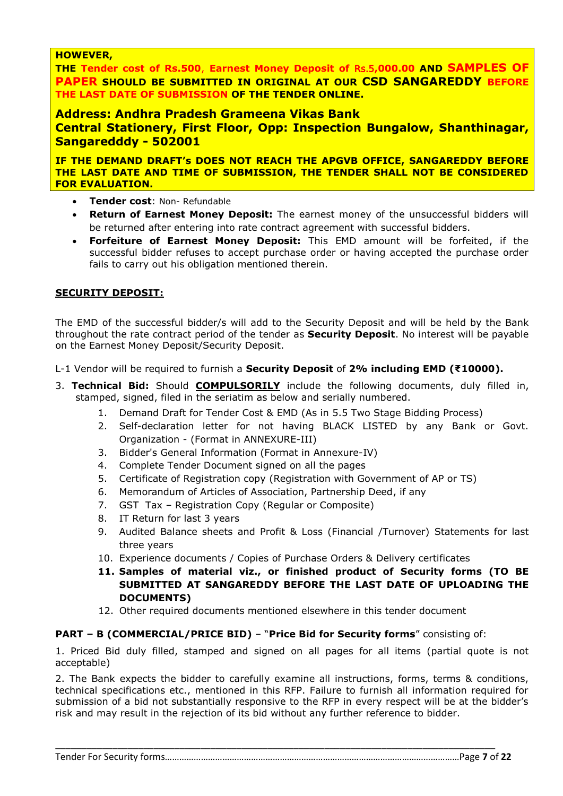### **HOWEVER,**

**THE Tender cost of Rs.500**, **Earnest Money Deposit of** Rs.5**,000.00 AND SAMPLES OF PAPER SHOULD BE SUBMITTED IN ORIGINAL AT OUR CSD SANGAREDDY BEFORE THE LAST DATE OF SUBMISSION OF THE TENDER ONLINE.**

# **Address: Andhra Pradesh Grameena Vikas Bank**

**Central Stationery, First Floor, Opp: Inspection Bungalow, Shanthinagar, Sangaredddy - 502001**

**IF THE DEMAND DRAFT's DOES NOT REACH THE APGVB OFFICE, SANGAREDDY BEFORE THE LAST DATE AND TIME OF SUBMISSION, THE TENDER SHALL NOT BE CONSIDERED FOR EVALUATION.**

- **Tender cost**: Non- Refundable
- **Return of Earnest Money Deposit:** The earnest money of the unsuccessful bidders will be returned after entering into rate contract agreement with successful bidders.
- **Forfeiture of Earnest Money Deposit:** This EMD amount will be forfeited, if the successful bidder refuses to accept purchase order or having accepted the purchase order fails to carry out his obligation mentioned therein.

# **SECURITY DEPOSIT:**

The EMD of the successful bidder/s will add to the Security Deposit and will be held by the Bank throughout the rate contract period of the tender as **Security Deposit**. No interest will be payable on the Earnest Money Deposit/Security Deposit.

L-1 Vendor will be required to furnish a **Security Deposit** of **2% including EMD (₹10000).**

- 3. **Technical Bid:** Should **COMPULSORILY** include the following documents, duly filled in, stamped, signed, filed in the seriatim as below and serially numbered.
	- 1. Demand Draft for Tender Cost & EMD (As in 5.5 Two Stage Bidding Process)
	- 2. Self-declaration letter for not having BLACK LISTED by any Bank or Govt. Organization - (Format in ANNEXURE-III)
	- 3. Bidder's General Information (Format in Annexure-IV)
	- 4. Complete Tender Document signed on all the pages
	- 5. Certificate of Registration copy (Registration with Government of AP or TS)
	- 6. Memorandum of Articles of Association, Partnership Deed, if any
	- 7. GST Tax Registration Copy (Regular or Composite)
	- 8. IT Return for last 3 years
	- 9. Audited Balance sheets and Profit & Loss (Financial /Turnover) Statements for last three years
	- 10. Experience documents / Copies of Purchase Orders & Delivery certificates
	- **11. Samples of material viz., or finished product of Security forms (TO BE SUBMITTED AT SANGAREDDY BEFORE THE LAST DATE OF UPLOADING THE DOCUMENTS)**
	- 12. Other required documents mentioned elsewhere in this tender document

# **PART – B (COMMERCIAL/PRICE BID)** – "**Price Bid for Security forms**" consisting of:

\_\_\_\_\_\_\_\_\_\_\_\_\_\_\_\_\_\_\_\_\_\_\_\_\_\_\_\_\_\_\_\_\_\_\_\_\_\_\_\_\_\_\_\_\_\_\_\_\_\_\_\_\_\_\_\_\_\_\_\_\_\_\_\_\_\_\_\_\_\_\_\_\_\_\_\_\_\_\_\_\_\_\_\_\_

1. Priced Bid duly filled, stamped and signed on all pages for all items (partial quote is not acceptable)

2. The Bank expects the bidder to carefully examine all instructions, forms, terms & conditions, technical specifications etc., mentioned in this RFP. Failure to furnish all information required for submission of a bid not substantially responsive to the RFP in every respect will be at the bidder's risk and may result in the rejection of its bid without any further reference to bidder.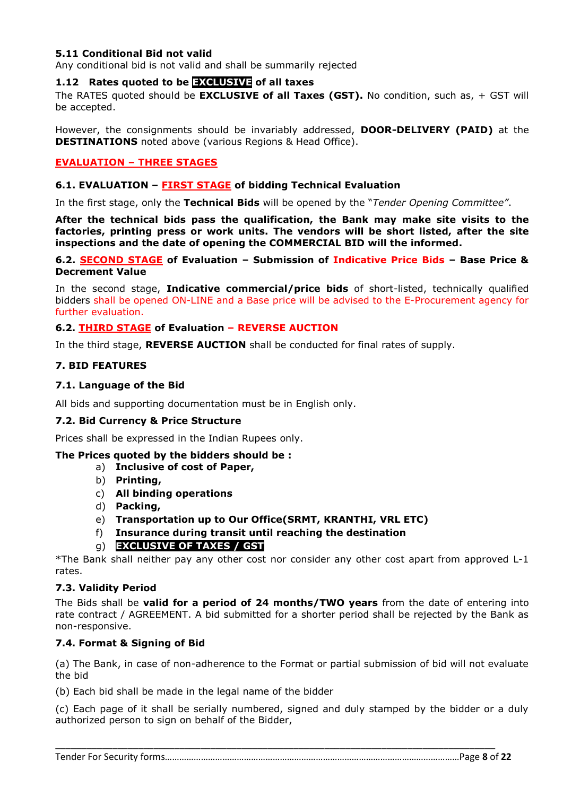#### **5.11 Conditional Bid not valid**

Any conditional bid is not valid and shall be summarily rejected

## **1.12 Rates quoted to be EXCLUSIVE of all taxes**

The RATES quoted should be **EXCLUSIVE of all Taxes (GST).** No condition, such as, + GST will be accepted.

However, the consignments should be invariably addressed, **DOOR-DELIVERY (PAID)** at the **DESTINATIONS** noted above (various Regions & Head Office).

# **EVALUATION – THREE STAGES**

#### **6.1. EVALUATION – FIRST STAGE of bidding Technical Evaluation**

In the first stage, only the **Technical Bids** will be opened by the "*Tender Opening Committee"*.

**After the technical bids pass the qualification, the Bank may make site visits to the factories, printing press or work units. The vendors will be short listed, after the site inspections and the date of opening the COMMERCIAL BID will the informed.**

#### **6.2. SECOND STAGE of Evaluation – Submission of Indicative Price Bids – Base Price & Decrement Value**

In the second stage, **Indicative commercial/price bids** of short-listed, technically qualified bidders shall be opened ON-LINE and a Base price will be advised to the E-Procurement agency for further evaluation.

#### **6.2. THIRD STAGE of Evaluation – REVERSE AUCTION**

In the third stage, **REVERSE AUCTION** shall be conducted for final rates of supply.

#### **7. BID FEATURES**

#### **7.1. Language of the Bid**

All bids and supporting documentation must be in English only.

#### **7.2. Bid Currency & Price Structure**

Prices shall be expressed in the Indian Rupees only.

#### **The Prices quoted by the bidders should be :**

- a) **Inclusive of cost of Paper,**
- b) **Printing,**
- c) **All binding operations**
- d) **Packing,**
- e) **Transportation up to Our Office(SRMT, KRANTHI, VRL ETC)**
- f) **Insurance during transit until reaching the destination**
- g) **EXCLUSIVE OF TAXES / GST**

\*The Bank shall neither pay any other cost nor consider any other cost apart from approved L-1 rates.

#### **7.3. Validity Period**

The Bids shall be **valid for a period of 24 months/TWO years** from the date of entering into rate contract / AGREEMENT. A bid submitted for a shorter period shall be rejected by the Bank as non-responsive.

#### **7.4. Format & Signing of Bid**

(a) The Bank, in case of non-adherence to the Format or partial submission of bid will not evaluate the bid

(b) Each bid shall be made in the legal name of the bidder

(c) Each page of it shall be serially numbered, signed and duly stamped by the bidder or a duly authorized person to sign on behalf of the Bidder,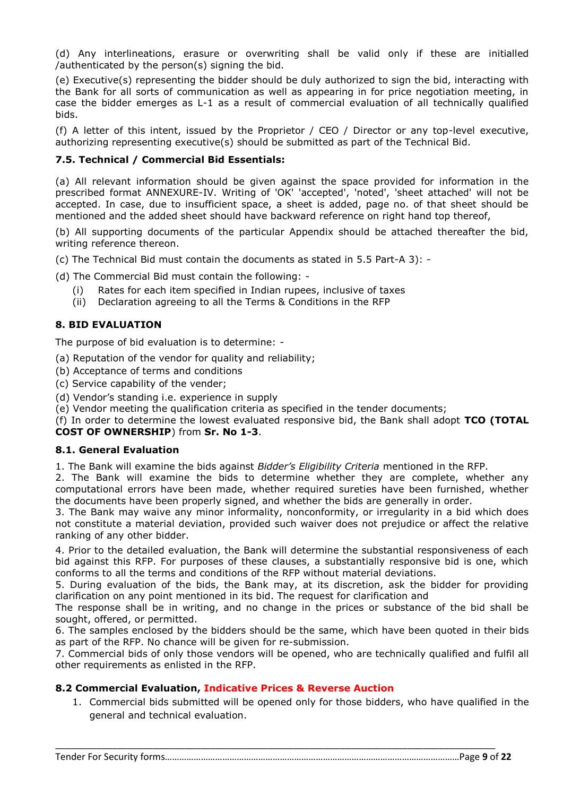(d) Any interlineations, erasure or overwriting shall be valid only if these are initialled /authenticated by the person(s) signing the bid.

(e) Executive(s) representing the bidder should be duly authorized to sign the bid, interacting with the Bank for all sorts of communication as well as appearing in for price negotiation meeting, in case the bidder emerges as L-1 as a result of commercial evaluation of all technically qualified bids.

(f) A letter of this intent, issued by the Proprietor / CEO / Director or any top-level executive, authorizing representing executive(s) should be submitted as part of the Technical Bid.

# **7.5. Technical / Commercial Bid Essentials:**

(a) All relevant information should be given against the space provided for information in the prescribed format ANNEXURE-IV. Writing of 'OK' 'accepted', 'noted', 'sheet attached' will not be accepted. In case, due to insufficient space, a sheet is added, page no. of that sheet should be mentioned and the added sheet should have backward reference on right hand top thereof,

(b) All supporting documents of the particular Appendix should be attached thereafter the bid, writing reference thereon.

(c) The Technical Bid must contain the documents as stated in 5.5 Part-A 3): -

(d) The Commercial Bid must contain the following: -

- (i) Rates for each item specified in Indian rupees, inclusive of taxes
- (ii) Declaration agreeing to all the Terms & Conditions in the RFP

# **8. BID EVALUATION**

The purpose of bid evaluation is to determine: -

- (a) Reputation of the vendor for quality and reliability;
- (b) Acceptance of terms and conditions
- (c) Service capability of the vender;

(d) Vendor's standing i.e. experience in supply

(e) Vendor meeting the qualification criteria as specified in the tender documents;

(f) In order to determine the lowest evaluated responsive bid, the Bank shall adopt **TCO (TOTAL COST OF OWNERSHIP**) from **Sr. No 1-3**.

#### **8.1. General Evaluation**

1. The Bank will examine the bids against *Bidder's Eligibility Criteria* mentioned in the RFP.

2. The Bank will examine the bids to determine whether they are complete, whether any computational errors have been made, whether required sureties have been furnished, whether the documents have been properly signed, and whether the bids are generally in order.

3. The Bank may waive any minor informality, nonconformity, or irregularity in a bid which does not constitute a material deviation, provided such waiver does not prejudice or affect the relative ranking of any other bidder.

4. Prior to the detailed evaluation, the Bank will determine the substantial responsiveness of each bid against this RFP. For purposes of these clauses, a substantially responsive bid is one, which conforms to all the terms and conditions of the RFP without material deviations.

5. During evaluation of the bids, the Bank may, at its discretion, ask the bidder for providing clarification on any point mentioned in its bid. The request for clarification and

The response shall be in writing, and no change in the prices or substance of the bid shall be sought, offered, or permitted.

6. The samples enclosed by the bidders should be the same, which have been quoted in their bids as part of the RFP. No chance will be given for re-submission.

7. Commercial bids of only those vendors will be opened, who are technically qualified and fulfil all other requirements as enlisted in the RFP.

\_\_\_\_\_\_\_\_\_\_\_\_\_\_\_\_\_\_\_\_\_\_\_\_\_\_\_\_\_\_\_\_\_\_\_\_\_\_\_\_\_\_\_\_\_\_\_\_\_\_\_\_\_\_\_\_\_\_\_\_\_\_\_\_\_\_\_\_\_\_\_\_\_\_\_\_\_\_\_\_\_\_\_\_\_

# **8.2 Commercial Evaluation, Indicative Prices & Reverse Auction**

1. Commercial bids submitted will be opened only for those bidders, who have qualified in the general and technical evaluation.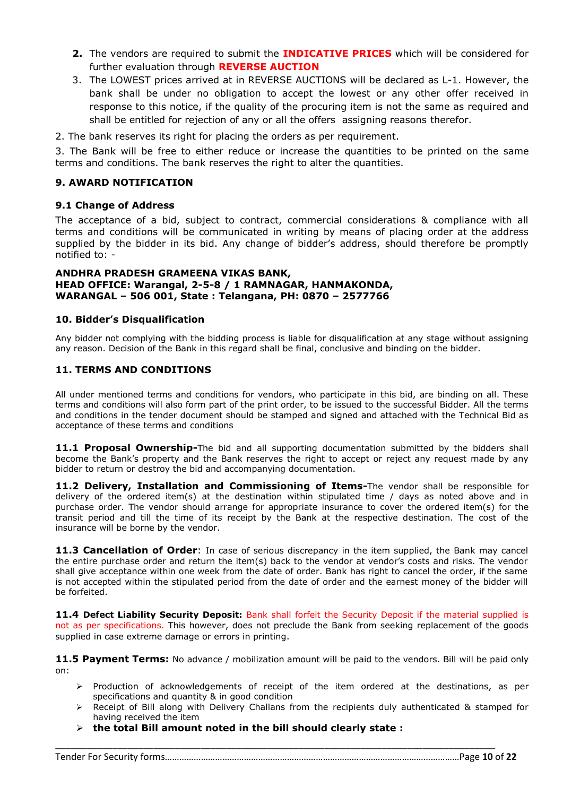- **2.** The vendors are required to submit the **INDICATIVE PRICES** which will be considered for further evaluation through **REVERSE AUCTION**
- 3. The LOWEST prices arrived at in REVERSE AUCTIONS will be declared as L-1. However, the bank shall be under no obligation to accept the lowest or any other offer received in response to this notice, if the quality of the procuring item is not the same as required and shall be entitled for rejection of any or all the offers assigning reasons therefor.
- 2. The bank reserves its right for placing the orders as per requirement.

3. The Bank will be free to either reduce or increase the quantities to be printed on the same terms and conditions. The bank reserves the right to alter the quantities.

#### **9. AWARD NOTIFICATION**

#### **9.1 Change of Address**

The acceptance of a bid, subject to contract, commercial considerations & compliance with all terms and conditions will be communicated in writing by means of placing order at the address supplied by the bidder in its bid. Any change of bidder's address, should therefore be promptly notified to: -

#### **ANDHRA PRADESH GRAMEENA VIKAS BANK, HEAD OFFICE: Warangal, 2-5-8 / 1 RAMNAGAR, HANMAKONDA, WARANGAL – 506 001, State : Telangana, PH: 0870 – 2577766**

#### **10. Bidder's Disqualification**

Any bidder not complying with the bidding process is liable for disqualification at any stage without assigning any reason. Decision of the Bank in this regard shall be final, conclusive and binding on the bidder.

#### **11. TERMS AND CONDITIONS**

All under mentioned terms and conditions for vendors, who participate in this bid, are binding on all. These terms and conditions will also form part of the print order, to be issued to the successful Bidder. All the terms and conditions in the tender document should be stamped and signed and attached with the Technical Bid as acceptance of these terms and conditions

**11.1 Proposal Ownership-**The bid and all supporting documentation submitted by the bidders shall become the Bank's property and the Bank reserves the right to accept or reject any request made by any bidder to return or destroy the bid and accompanying documentation.

**11.2 Delivery, Installation and Commissioning of Items-**The vendor shall be responsible for delivery of the ordered item(s) at the destination within stipulated time / days as noted above and in purchase order. The vendor should arrange for appropriate insurance to cover the ordered item(s) for the transit period and till the time of its receipt by the Bank at the respective destination. The cost of the insurance will be borne by the vendor.

**11.3 Cancellation of Order**: In case of serious discrepancy in the item supplied, the Bank may cancel the entire purchase order and return the item(s) back to the vendor at vendor's costs and risks. The vendor shall give acceptance within one week from the date of order. Bank has right to cancel the order, if the same is not accepted within the stipulated period from the date of order and the earnest money of the bidder will be forfeited.

**11.4 Defect Liability Security Deposit:** Bank shall forfeit the Security Deposit if the material supplied is not as per specifications. This however, does not preclude the Bank from seeking replacement of the goods supplied in case extreme damage or errors in printing.

**11.5 Payment Terms:** No advance / mobilization amount will be paid to the vendors. Bill will be paid only on:

- $\triangleright$  Production of acknowledgements of receipt of the item ordered at the destinations, as per specifications and quantity & in good condition
- $\triangleright$  Receipt of Bill along with Delivery Challans from the recipients duly authenticated & stamped for having received the item
- **the total Bill amount noted in the bill should clearly state :**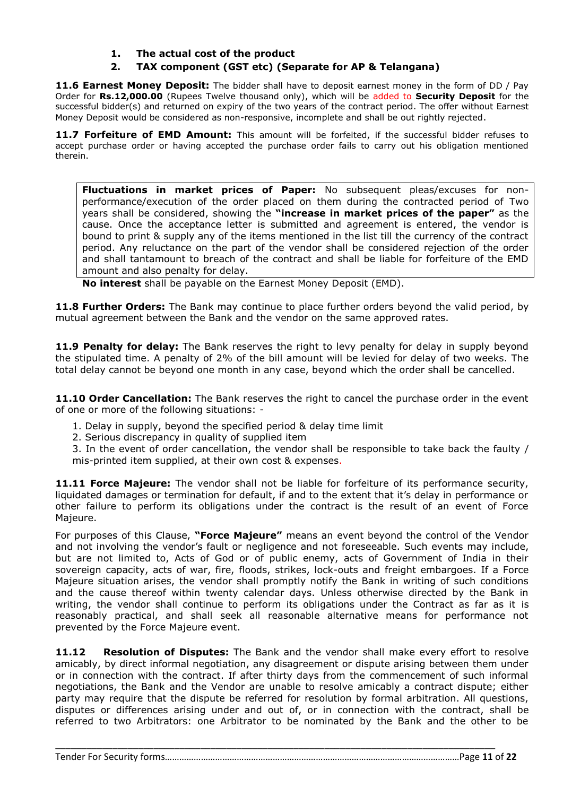# **1. The actual cost of the product**

# **2. TAX component (GST etc) (Separate for AP & Telangana)**

**11.6 Earnest Money Deposit:** The bidder shall have to deposit earnest money in the form of DD / Pay Order for **Rs.12,000.00** (Rupees Twelve thousand only), which will be added to **Security Deposit** for the successful bidder(s) and returned on expiry of the two years of the contract period. The offer without Earnest Money Deposit would be considered as non-responsive, incomplete and shall be out rightly rejected.

**11.7 Forfeiture of EMD Amount:** This amount will be forfeited, if the successful bidder refuses to accept purchase order or having accepted the purchase order fails to carry out his obligation mentioned therein.

**Fluctuations in market prices of Paper:** No subsequent pleas/excuses for nonperformance/execution of the order placed on them during the contracted period of Two years shall be considered, showing the **"increase in market prices of the paper"** as the cause. Once the acceptance letter is submitted and agreement is entered, the vendor is bound to print & supply any of the items mentioned in the list till the currency of the contract period. Any reluctance on the part of the vendor shall be considered rejection of the order and shall tantamount to breach of the contract and shall be liable for forfeiture of the EMD amount and also penalty for delay.

**No interest** shall be payable on the Earnest Money Deposit (EMD).

**11.8 Further Orders:** The Bank may continue to place further orders beyond the valid period, by mutual agreement between the Bank and the vendor on the same approved rates.

**11.9 Penalty for delay:** The Bank reserves the right to levy penalty for delay in supply beyond the stipulated time. A penalty of 2% of the bill amount will be levied for delay of two weeks. The total delay cannot be beyond one month in any case, beyond which the order shall be cancelled.

**11.10 Order Cancellation:** The Bank reserves the right to cancel the purchase order in the event of one or more of the following situations: -

- 1. Delay in supply, beyond the specified period & delay time limit
- 2. Serious discrepancy in quality of supplied item
- 3. In the event of order cancellation, the vendor shall be responsible to take back the faulty / mis-printed item supplied, at their own cost & expenses.

**11.11 Force Majeure:** The vendor shall not be liable for forfeiture of its performance security, liquidated damages or termination for default, if and to the extent that it's delay in performance or other failure to perform its obligations under the contract is the result of an event of Force Majeure.

For purposes of this Clause, **"Force Majeure"** means an event beyond the control of the Vendor and not involving the vendor's fault or negligence and not foreseeable. Such events may include, but are not limited to, Acts of God or of public enemy, acts of Government of India in their sovereign capacity, acts of war, fire, floods, strikes, lock-outs and freight embargoes. If a Force Majeure situation arises, the vendor shall promptly notify the Bank in writing of such conditions and the cause thereof within twenty calendar days. Unless otherwise directed by the Bank in writing, the vendor shall continue to perform its obligations under the Contract as far as it is reasonably practical, and shall seek all reasonable alternative means for performance not prevented by the Force Majeure event.

**11.12 Resolution of Disputes:** The Bank and the vendor shall make every effort to resolve amicably, by direct informal negotiation, any disagreement or dispute arising between them under or in connection with the contract. If after thirty days from the commencement of such informal negotiations, the Bank and the Vendor are unable to resolve amicably a contract dispute; either party may require that the dispute be referred for resolution by formal arbitration. All questions, disputes or differences arising under and out of, or in connection with the contract, shall be referred to two Arbitrators: one Arbitrator to be nominated by the Bank and the other to be

\_\_\_\_\_\_\_\_\_\_\_\_\_\_\_\_\_\_\_\_\_\_\_\_\_\_\_\_\_\_\_\_\_\_\_\_\_\_\_\_\_\_\_\_\_\_\_\_\_\_\_\_\_\_\_\_\_\_\_\_\_\_\_\_\_\_\_\_\_\_\_\_\_\_\_\_\_\_\_\_\_\_\_\_\_

Tender For Security forms……………………………………………………………………………………………………………Page **11** of **22**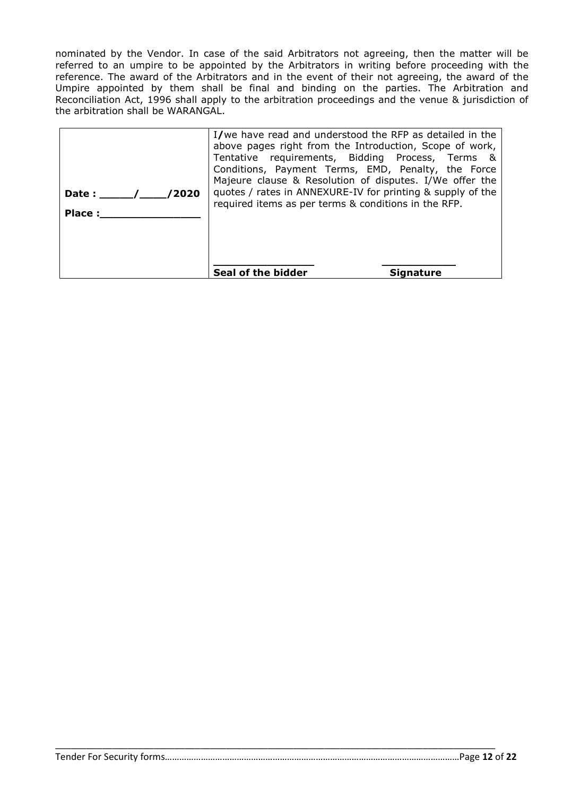nominated by the Vendor. In case of the said Arbitrators not agreeing, then the matter will be referred to an umpire to be appointed by the Arbitrators in writing before proceeding with the reference. The award of the Arbitrators and in the event of their not agreeing, the award of the Umpire appointed by them shall be final and binding on the parties. The Arbitration and Reconciliation Act, 1996 shall apply to the arbitration proceedings and the venue & jurisdiction of the arbitration shall be WARANGAL.

| /2020<br>Date :<br>Place: | I/we have read and understood the RFP as detailed in the<br>above pages right from the Introduction, Scope of work,<br>Tentative requirements, Bidding Process, Terms &<br>Conditions, Payment Terms, EMD, Penalty, the Force<br>Majeure clause & Resolution of disputes. I/We offer the<br>quotes / rates in ANNEXURE-IV for printing & supply of the<br>required items as per terms & conditions in the RFP. |                  |
|---------------------------|----------------------------------------------------------------------------------------------------------------------------------------------------------------------------------------------------------------------------------------------------------------------------------------------------------------------------------------------------------------------------------------------------------------|------------------|
|                           | Seal of the bidder                                                                                                                                                                                                                                                                                                                                                                                             | <b>Signature</b> |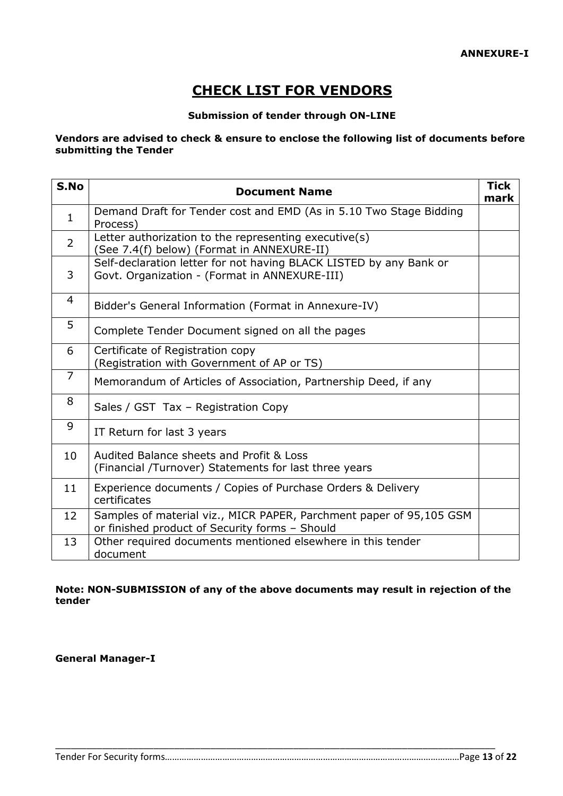# **CHECK LIST FOR VENDORS**

# **Submission of tender through ON-LINE**

### **Vendors are advised to check & ensure to enclose the following list of documents before submitting the Tender**

| S.No           | <b>Document Name</b>                                                                                                  | <b>Tick</b><br>mark |
|----------------|-----------------------------------------------------------------------------------------------------------------------|---------------------|
| $\mathbf{1}$   | Demand Draft for Tender cost and EMD (As in 5.10 Two Stage Bidding<br>Process)                                        |                     |
| $\overline{2}$ | Letter authorization to the representing executive(s)<br>(See 7.4(f) below) (Format in ANNEXURE-II)                   |                     |
| 3              | Self-declaration letter for not having BLACK LISTED by any Bank or<br>Govt. Organization - (Format in ANNEXURE-III)   |                     |
| 4              | Bidder's General Information (Format in Annexure-IV)                                                                  |                     |
| 5              | Complete Tender Document signed on all the pages                                                                      |                     |
| 6              | Certificate of Registration copy<br>(Registration with Government of AP or TS)                                        |                     |
| $\overline{7}$ | Memorandum of Articles of Association, Partnership Deed, if any                                                       |                     |
| 8              | Sales / GST Tax - Registration Copy                                                                                   |                     |
| 9              | IT Return for last 3 years                                                                                            |                     |
| 10             | Audited Balance sheets and Profit & Loss<br>(Financial /Turnover) Statements for last three years                     |                     |
| 11             | Experience documents / Copies of Purchase Orders & Delivery<br>certificates                                           |                     |
| 12             | Samples of material viz., MICR PAPER, Parchment paper of 95,105 GSM<br>or finished product of Security forms - Should |                     |
| 13             | Other required documents mentioned elsewhere in this tender<br>document                                               |                     |

# **Note: NON-SUBMISSION of any of the above documents may result in rejection of the tender**

\_\_\_\_\_\_\_\_\_\_\_\_\_\_\_\_\_\_\_\_\_\_\_\_\_\_\_\_\_\_\_\_\_\_\_\_\_\_\_\_\_\_\_\_\_\_\_\_\_\_\_\_\_\_\_\_\_\_\_\_\_\_\_\_\_\_\_\_\_\_\_\_\_\_\_\_\_\_\_\_\_\_\_\_\_

**General Manager-I**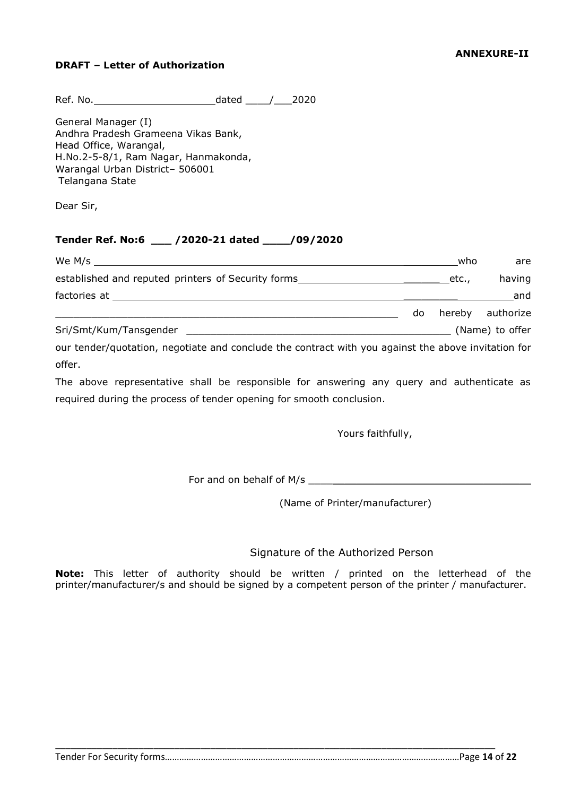# **DRAFT – Letter of Authorization**

Ref. No. 2020

General Manager (I) Andhra Pradesh Grameena Vikas Bank, Head Office, Warangal, H.No.2-5-8/1, Ram Nagar, Hanmakonda, Warangal Urban District– 506001 Telangana State

Dear Sir,

# **Tender Ref. No:6 \_\_\_ /2020-21 dated \_\_\_\_/09/2020**

| We M/s $\sqrt{2\pi}$                                                                                |     | who   | are              |
|-----------------------------------------------------------------------------------------------------|-----|-------|------------------|
| established and reputed printers of Security forms______________________________                    |     | etc., | having           |
|                                                                                                     |     |       | and              |
|                                                                                                     | do. |       | hereby authorize |
| Sri/Smt/Kum/Tansgender                                                                              |     |       | (Name) to offer  |
| our tender/quotation, negotiate and conclude the contract with you against the above invitation for |     |       |                  |

offer.

The above representative shall be responsible for answering any query and authenticate as required during the process of tender opening for smooth conclusion.

Yours faithfully,

For and on behalf of M/s \_\_\_\_\_\_\_\_\_\_\_\_\_\_\_\_\_\_\_\_\_\_\_\_\_\_\_\_\_\_\_\_\_\_\_\_\_

(Name of Printer/manufacturer)

# Signature of the Authorized Person

**Note:** This letter of authority should be written / printed on the letterhead of the printer/manufacturer/s and should be signed by a competent person of the printer / manufacturer.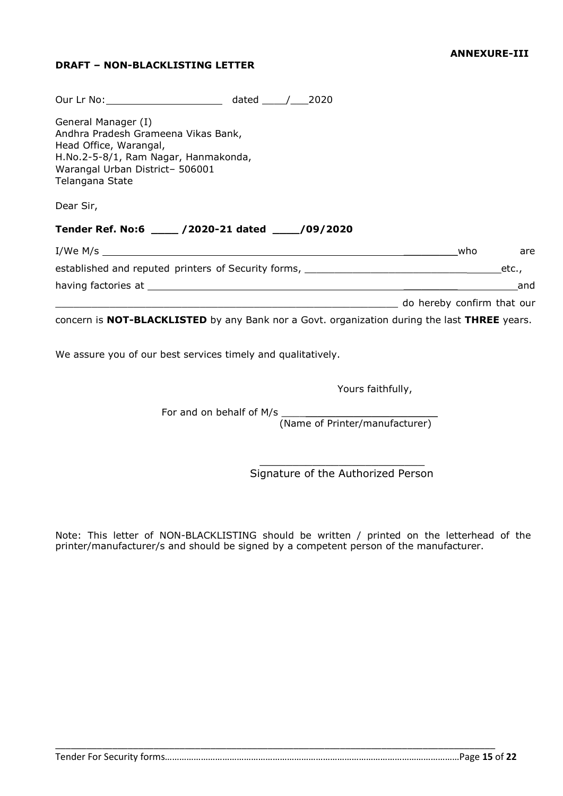# **DRAFT – NON-BLACKLISTING LETTER**

| Our Lr No: 2020                                                                                                                                                                    |            |
|------------------------------------------------------------------------------------------------------------------------------------------------------------------------------------|------------|
| General Manager (I)<br>Andhra Pradesh Grameena Vikas Bank,<br>Head Office, Warangal,<br>H.No.2-5-8/1, Ram Nagar, Hanmakonda,<br>Warangal Urban District- 506001<br>Telangana State |            |
| Dear Sir,                                                                                                                                                                          |            |
| Tender Ref. No:6 ____ /2020-21 dated ____ /09/2020                                                                                                                                 |            |
|                                                                                                                                                                                    | who<br>are |
| established and reputed printers of Security forms, _____________________________                                                                                                  | etc.,      |
|                                                                                                                                                                                    | and        |
|                                                                                                                                                                                    |            |
| concern is NOT-BLACKLISTED by any Bank nor a Govt. organization during the last THREE years.                                                                                       |            |

We assure you of our best services timely and qualitatively.

Yours faithfully,

For and on behalf of M/s (Name of Printer/manufacturer)

> $\mathcal{L}$  , where  $\mathcal{L}$  is the set of the set of the set of the set of the set of the set of the set of the set of the set of the set of the set of the set of the set of the set of the set of the set of the set of the s Signature of the Authorized Person

Note: This letter of NON-BLACKLISTING should be written / printed on the letterhead of the printer/manufacturer/s and should be signed by a competent person of the manufacturer.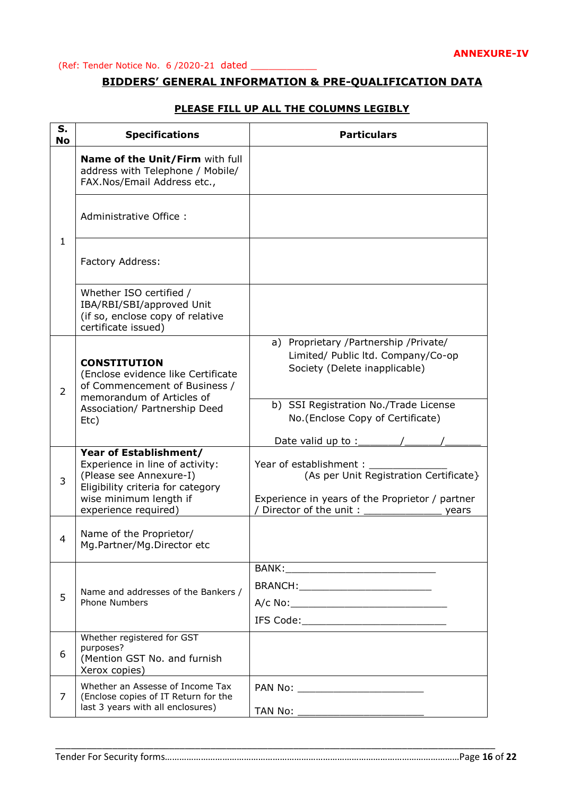# **BIDDERS' GENERAL INFORMATION & PRE-QUALIFICATION DATA**

| S.<br><b>No</b> | <b>Specifications</b>                                                                                                                               | <b>Particulars</b>                                                                                                    |
|-----------------|-----------------------------------------------------------------------------------------------------------------------------------------------------|-----------------------------------------------------------------------------------------------------------------------|
|                 | Name of the Unit/Firm with full<br>address with Telephone / Mobile/<br>FAX.Nos/Email Address etc.,                                                  |                                                                                                                       |
|                 | Administrative Office:                                                                                                                              |                                                                                                                       |
| $\mathbf{1}$    | Factory Address:                                                                                                                                    |                                                                                                                       |
|                 | Whether ISO certified /<br>IBA/RBI/SBI/approved Unit<br>(if so, enclose copy of relative<br>certificate issued)                                     |                                                                                                                       |
| $\overline{2}$  | <b>CONSTITUTION</b><br>(Enclose evidence like Certificate<br>of Commencement of Business /<br>memorandum of Articles of                             | a) Proprietary / Partnership / Private/<br>Limited/ Public ltd. Company/Co-op<br>Society (Delete inapplicable)        |
|                 | Association/ Partnership Deed<br>Etc)                                                                                                               | b) SSI Registration No./Trade License<br>No.(Enclose Copy of Certificate)<br>Date valid up to :                       |
| 3               | Year of Establishment/<br>Experience in line of activity:<br>(Please see Annexure-I)<br>Eligibility criteria for category<br>wise minimum length if | Year of establishment: _<br>(As per Unit Registration Certificate}<br>Experience in years of the Proprietor / partner |
| 4               | experience required)<br>Name of the Proprietor/<br>Mg.Partner/Mg.Director etc                                                                       | Director of the unit:<br>years                                                                                        |
|                 |                                                                                                                                                     |                                                                                                                       |
| 5               | Name and addresses of the Bankers /<br><b>Phone Numbers</b>                                                                                         | BRANCH:____________________________                                                                                   |
|                 |                                                                                                                                                     |                                                                                                                       |
| 6               | Whether registered for GST<br>purposes?<br>(Mention GST No. and furnish<br>Xerox copies)                                                            |                                                                                                                       |
| 7               | Whether an Assesse of Income Tax<br>(Enclose copies of IT Return for the<br>last 3 years with all enclosures)                                       | PAN No: ___________________________                                                                                   |
|                 |                                                                                                                                                     |                                                                                                                       |

 $\_$  , and the set of the set of the set of the set of the set of the set of the set of the set of the set of the set of the set of the set of the set of the set of the set of the set of the set of the set of the set of th

# **PLEASE FILL UP ALL THE COLUMNS LEGIBLY**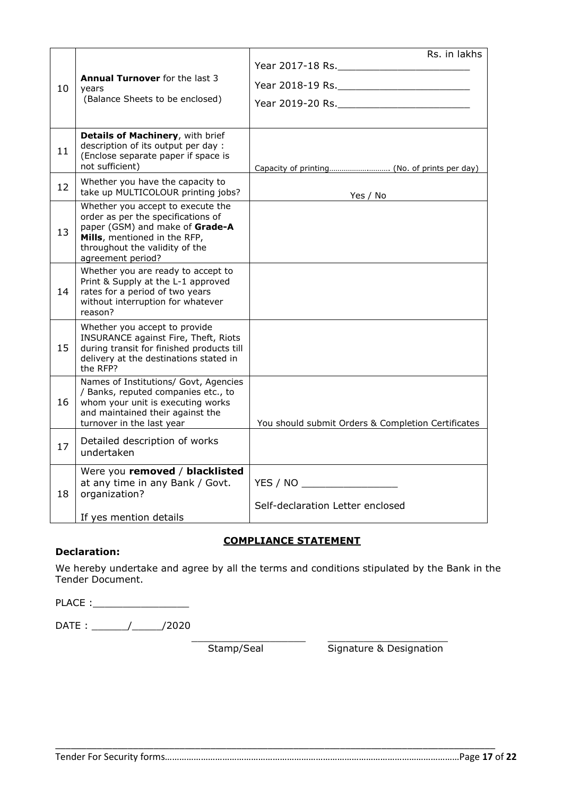|    |                                                                                                                                                                                                   | Rs. in lakhs                                                      |
|----|---------------------------------------------------------------------------------------------------------------------------------------------------------------------------------------------------|-------------------------------------------------------------------|
| 10 | <b>Annual Turnover</b> for the last 3<br>years<br>(Balance Sheets to be enclosed)                                                                                                                 |                                                                   |
| 11 | Details of Machinery, with brief<br>description of its output per day :<br>(Enclose separate paper if space is<br>not sufficient)                                                                 |                                                                   |
| 12 | Whether you have the capacity to<br>take up MULTICOLOUR printing jobs?                                                                                                                            | Yes / No                                                          |
| 13 | Whether you accept to execute the<br>order as per the specifications of<br>paper (GSM) and make of Grade-A<br>Mills, mentioned in the RFP,<br>throughout the validity of the<br>agreement period? |                                                                   |
| 14 | Whether you are ready to accept to<br>Print & Supply at the L-1 approved<br>rates for a period of two years<br>without interruption for whatever<br>reason?                                       |                                                                   |
| 15 | Whether you accept to provide<br>INSURANCE against Fire, Theft, Riots<br>during transit for finished products till<br>delivery at the destinations stated in<br>the RFP?                          |                                                                   |
| 16 | Names of Institutions/ Govt, Agencies<br>/ Banks, reputed companies etc., to<br>whom your unit is executing works<br>and maintained their against the<br>turnover in the last year                | You should submit Orders & Completion Certificates                |
| 17 | Detailed description of works<br>undertaken                                                                                                                                                       |                                                                   |
| 18 | Were you removed / blacklisted<br>at any time in any Bank / Govt.<br>organization?<br>If yes mention details                                                                                      | YES / NO ____________________<br>Self-declaration Letter enclosed |

# **COMPLIANCE STATEMENT**

\_\_\_\_\_\_\_\_\_\_\_\_\_\_\_\_\_\_\_ \_\_\_\_\_\_\_\_\_\_\_\_\_\_\_\_\_\_\_\_

# **Declaration:**

We hereby undertake and agree by all the terms and conditions stipulated by the Bank in the Tender Document.

\_\_\_\_\_\_\_\_\_\_\_\_\_\_\_\_\_\_\_\_\_\_\_\_\_\_\_\_\_\_\_\_\_\_\_\_\_\_\_\_\_\_\_\_\_\_\_\_\_\_\_\_\_\_\_\_\_\_\_\_\_\_\_\_\_\_\_\_\_\_\_\_\_\_\_\_\_\_\_\_\_\_\_\_\_

PLACE :\_\_\_\_\_\_\_\_\_\_\_\_\_\_\_\_

DATE : \_\_\_\_\_\_/\_\_\_\_\_/2020

Stamp/Seal Signature & Designation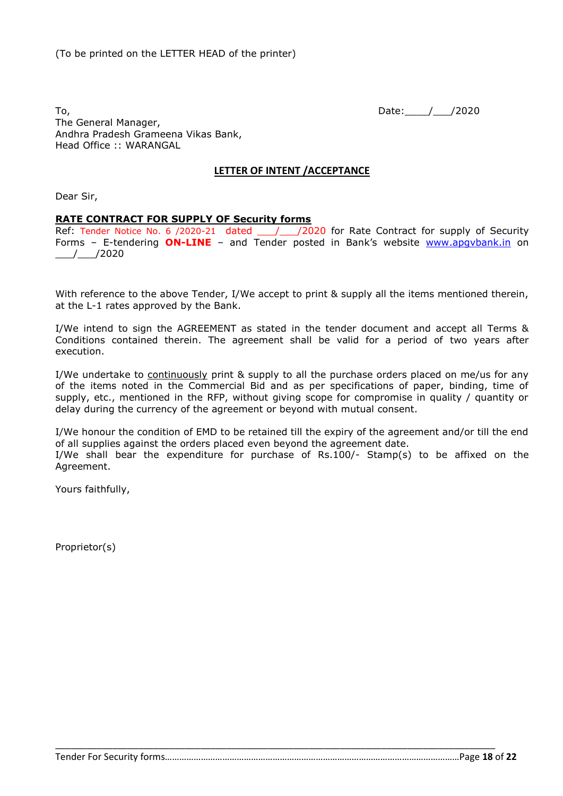To, 2020 The General Manager, Andhra Pradesh Grameena Vikas Bank, Head Office :: WARANGAL

#### **LETTER OF INTENT /ACCEPTANCE**

Dear Sir,

#### **RATE CONTRACT FOR SUPPLY OF Security forms**

Ref: Tender Notice No. 6 /2020-21 dated \_\_\_ /\_\_\_ /2020 for Rate Contract for supply of Security Forms - E-tendering **ON-LINE** - and Tender posted in Bank's website www.apgybank.in on  $\_$ / $\_$ /2020

With reference to the above Tender, I/We accept to print & supply all the items mentioned therein, at the L-1 rates approved by the Bank.

I/We intend to sign the AGREEMENT as stated in the tender document and accept all Terms & Conditions contained therein. The agreement shall be valid for a period of two years after execution.

I/We undertake to continuously print & supply to all the purchase orders placed on me/us for any of the items noted in the Commercial Bid and as per specifications of paper, binding, time of supply, etc., mentioned in the RFP, without giving scope for compromise in quality / quantity or delay during the currency of the agreement or beyond with mutual consent.

I/We honour the condition of EMD to be retained till the expiry of the agreement and/or till the end of all supplies against the orders placed even beyond the agreement date.

I/We shall bear the expenditure for purchase of Rs.100/- Stamp(s) to be affixed on the Agreement.

\_\_\_\_\_\_\_\_\_\_\_\_\_\_\_\_\_\_\_\_\_\_\_\_\_\_\_\_\_\_\_\_\_\_\_\_\_\_\_\_\_\_\_\_\_\_\_\_\_\_\_\_\_\_\_\_\_\_\_\_\_\_\_\_\_\_\_\_\_\_\_\_\_\_\_\_\_\_\_\_\_\_\_\_\_

Yours faithfully,

Proprietor(s)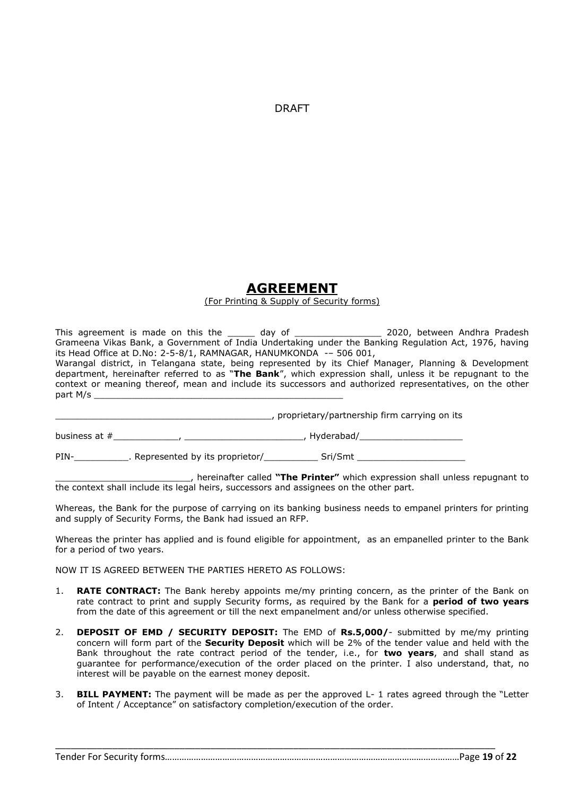DRAFT

# **AGREEMENT**

#### (For Printing & Supply of Security forms)

This agreement is made on this the \_\_\_\_\_ day of \_\_\_\_\_\_\_\_\_\_\_\_\_\_\_\_\_\_ 2020, between Andhra Pradesh Grameena Vikas Bank, a Government of India Undertaking under the Banking Regulation Act, 1976, having its Head Office at D.No: 2-5-8/1, RAMNAGAR, HANUMKONDA -– 506 001,

Warangal district, in Telangana state, being represented by its Chief Manager, Planning & Development department, hereinafter referred to as "**The Bank**", which expression shall, unless it be repugnant to the context or meaning thereof, mean and include its successors and authorized representatives, on the other part M/s

\_\_\_\_\_\_\_\_\_\_\_\_\_\_\_\_\_\_\_\_\_\_\_\_\_\_\_\_\_\_\_\_\_\_\_\_\_\_\_\_, proprietary/partnership firm carrying on its

business at #\_\_\_\_\_\_\_\_\_\_\_\_, \_\_\_\_\_\_\_\_\_\_\_\_\_\_\_\_\_\_\_\_\_\_, Hyderabad/\_\_\_\_\_\_\_\_\_\_\_\_\_\_\_\_\_\_\_

PIN-\_\_\_\_\_\_\_\_\_\_\_\_\_. Represented by its proprietor/\_\_\_\_\_\_\_\_\_\_\_\_\_\_\_ Sri/Smt \_\_\_\_\_

\_\_\_\_\_\_\_\_\_\_\_\_\_\_\_\_\_\_\_\_\_\_\_\_\_, hereinafter called **"The Printer"** which expression shall unless repugnant to the context shall include its legal heirs, successors and assignees on the other part.

Whereas, the Bank for the purpose of carrying on its banking business needs to empanel printers for printing and supply of Security Forms, the Bank had issued an RFP.

Whereas the printer has applied and is found eligible for appointment, as an empanelled printer to the Bank for a period of two years.

NOW IT IS AGREED BETWEEN THE PARTIES HERETO AS FOLLOWS:

- 1. **RATE CONTRACT:** The Bank hereby appoints me/my printing concern, as the printer of the Bank on rate contract to print and supply Security forms, as required by the Bank for a **period of two years** from the date of this agreement or till the next empanelment and/or unless otherwise specified.
- 2. **DEPOSIT OF EMD / SECURITY DEPOSIT:** The EMD of **Rs.5,000/** submitted by me/my printing concern will form part of the **Security Deposit** which will be 2% of the tender value and held with the Bank throughout the rate contract period of the tender, i.e., for **two years**, and shall stand as guarantee for performance/execution of the order placed on the printer. I also understand, that, no interest will be payable on the earnest money deposit.
- 3. **BILL PAYMENT:** The payment will be made as per the approved L- 1 rates agreed through the "Letter of Intent / Acceptance" on satisfactory completion/execution of the order.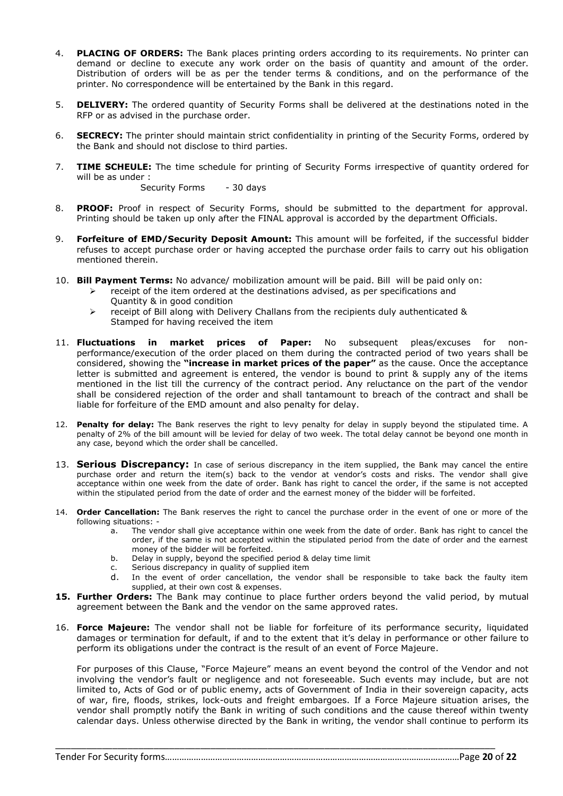- 4. **PLACING OF ORDERS:** The Bank places printing orders according to its requirements. No printer can demand or decline to execute any work order on the basis of quantity and amount of the order. Distribution of orders will be as per the tender terms & conditions, and on the performance of the printer. No correspondence will be entertained by the Bank in this regard.
- 5. **DELIVERY:** The ordered quantity of Security Forms shall be delivered at the destinations noted in the RFP or as advised in the purchase order.
- 6. **SECRECY:** The printer should maintain strict confidentiality in printing of the Security Forms, ordered by the Bank and should not disclose to third parties.
- 7. **TIME SCHEULE:** The time schedule for printing of Security Forms irrespective of quantity ordered for will be as under :

Security Forms - 30 days

- 8. **PROOF:** Proof in respect of Security Forms, should be submitted to the department for approval. Printing should be taken up only after the FINAL approval is accorded by the department Officials.
- 9. **Forfeiture of EMD/Security Deposit Amount:** This amount will be forfeited, if the successful bidder refuses to accept purchase order or having accepted the purchase order fails to carry out his obligation mentioned therein.
- 10. **Bill Payment Terms:** No advance/ mobilization amount will be paid. Bill will be paid only on:
	- $\triangleright$  receipt of the item ordered at the destinations advised, as per specifications and Quantity & in good condition
	- $\triangleright$  receipt of Bill along with Delivery Challans from the recipients duly authenticated & Stamped for having received the item
- 11. **Fluctuations in market prices of Paper:** No subsequent pleas/excuses for nonperformance/execution of the order placed on them during the contracted period of two years shall be considered, showing the **"increase in market prices of the paper"** as the cause. Once the acceptance letter is submitted and agreement is entered, the vendor is bound to print & supply any of the items mentioned in the list till the currency of the contract period. Any reluctance on the part of the vendor shall be considered rejection of the order and shall tantamount to breach of the contract and shall be liable for forfeiture of the EMD amount and also penalty for delay.
- 12. **Penalty for delay:** The Bank reserves the right to levy penalty for delay in supply beyond the stipulated time. A penalty of 2% of the bill amount will be levied for delay of two week. The total delay cannot be beyond one month in any case, beyond which the order shall be cancelled.
- 13. **Serious Discrepancy:** In case of serious discrepancy in the item supplied, the Bank may cancel the entire purchase order and return the item(s) back to the vendor at vendor's costs and risks. The vendor shall give acceptance within one week from the date of order. Bank has right to cancel the order, if the same is not accepted within the stipulated period from the date of order and the earnest money of the bidder will be forfeited.
- 14. **Order Cancellation:** The Bank reserves the right to cancel the purchase order in the event of one or more of the following situations:
	- a. The vendor shall give acceptance within one week from the date of order. Bank has right to cancel the order, if the same is not accepted within the stipulated period from the date of order and the earnest money of the bidder will be forfeited.
	- b. Delay in supply, beyond the specified period  $\&$  delay time limit
	- c. Serious discrepancy in quality of supplied item
	- d. In the event of order cancellation, the vendor shall be responsible to take back the faulty item supplied, at their own cost & expenses.
- **15. Further Orders:** The Bank may continue to place further orders beyond the valid period, by mutual agreement between the Bank and the vendor on the same approved rates.
- 16. **Force Majeure:** The vendor shall not be liable for forfeiture of its performance security, liquidated damages or termination for default, if and to the extent that it's delay in performance or other failure to perform its obligations under the contract is the result of an event of Force Majeure.

For purposes of this Clause, "Force Majeure" means an event beyond the control of the Vendor and not involving the vendor's fault or negligence and not foreseeable. Such events may include, but are not limited to, Acts of God or of public enemy, acts of Government of India in their sovereign capacity, acts of war, fire, floods, strikes, lock-outs and freight embargoes. If a Force Majeure situation arises, the vendor shall promptly notify the Bank in writing of such conditions and the cause thereof within twenty calendar days. Unless otherwise directed by the Bank in writing, the vendor shall continue to perform its

\_\_\_\_\_\_\_\_\_\_\_\_\_\_\_\_\_\_\_\_\_\_\_\_\_\_\_\_\_\_\_\_\_\_\_\_\_\_\_\_\_\_\_\_\_\_\_\_\_\_\_\_\_\_\_\_\_\_\_\_\_\_\_\_\_\_\_\_\_\_\_\_\_\_\_\_\_\_\_\_\_\_\_\_\_

Tender For Security forms……………………………………………………………………………………………………………Page **20** of **22**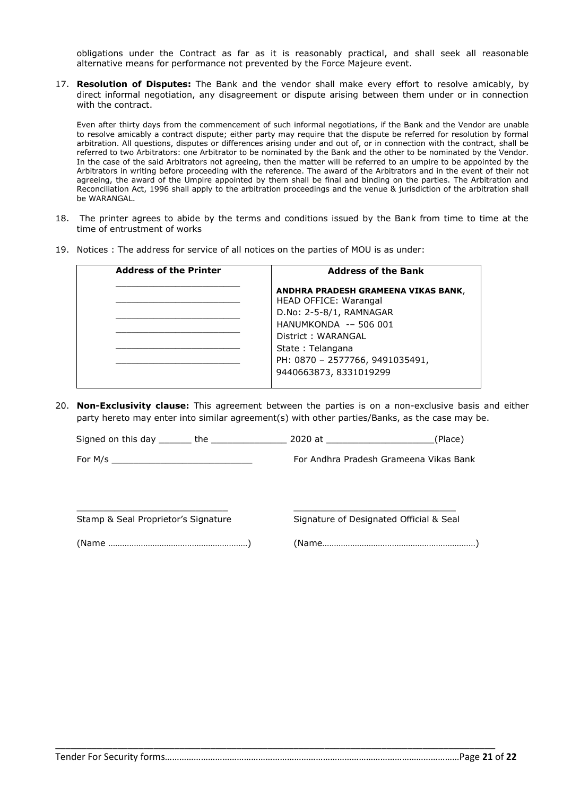obligations under the Contract as far as it is reasonably practical, and shall seek all reasonable alternative means for performance not prevented by the Force Majeure event.

17. **Resolution of Disputes:** The Bank and the vendor shall make every effort to resolve amicably, by direct informal negotiation, any disagreement or dispute arising between them under or in connection with the contract.

Even after thirty days from the commencement of such informal negotiations, if the Bank and the Vendor are unable to resolve amicably a contract dispute; either party may require that the dispute be referred for resolution by formal arbitration. All questions, disputes or differences arising under and out of, or in connection with the contract, shall be referred to two Arbitrators: one Arbitrator to be nominated by the Bank and the other to be nominated by the Vendor. In the case of the said Arbitrators not agreeing, then the matter will be referred to an umpire to be appointed by the Arbitrators in writing before proceeding with the reference. The award of the Arbitrators and in the event of their not agreeing, the award of the Umpire appointed by them shall be final and binding on the parties. The Arbitration and Reconciliation Act, 1996 shall apply to the arbitration proceedings and the venue & jurisdiction of the arbitration shall be WARANGAL.

- 18. The printer agrees to abide by the terms and conditions issued by the Bank from time to time at the time of entrustment of works
- 19. Notices : The address for service of all notices on the parties of MOU is as under:

| <b>Address of the Printer</b> | <b>Address of the Bank</b>                                   |  |
|-------------------------------|--------------------------------------------------------------|--|
|                               | ANDHRA PRADESH GRAMEENA VIKAS BANK,<br>HEAD OFFICE: Warangal |  |
|                               | D.No: 2-5-8/1, RAMNAGAR                                      |  |
|                               | HANUMKONDA -- 506 001                                        |  |
|                               | District: WARANGAL                                           |  |
|                               | State: Telangana                                             |  |
|                               | PH: 0870 - 2577766, 9491035491,                              |  |
|                               | 9440663873, 8331019299                                       |  |

20. **Non-Exclusivity clause:** This agreement between the parties is on a non-exclusive basis and either party hereto may enter into similar agreement(s) with other parties/Banks, as the case may be.

Signed on this day \_\_\_\_\_\_ the \_\_\_\_\_\_\_\_\_\_\_\_\_\_ 2020 at \_\_\_\_\_\_\_\_\_\_\_\_\_\_\_\_\_\_\_\_(Place)

 $\_$  , and the set of the set of the set of the set of the set of the set of the set of the set of the set of the set of the set of the set of the set of the set of the set of the set of the set of the set of the set of th

\_\_\_\_\_\_\_\_\_\_\_\_\_\_\_\_\_\_\_\_\_\_\_\_\_\_\_\_\_\_\_\_\_\_\_\_\_\_\_\_\_\_\_\_\_\_\_\_\_\_\_\_\_\_\_\_\_\_\_\_\_\_\_\_\_\_\_\_\_\_\_\_\_\_\_\_\_\_\_\_\_\_\_\_\_

For M/s \_\_\_\_\_\_\_\_\_\_\_\_\_\_\_\_\_\_\_\_\_\_\_\_\_\_ For Andhra Pradesh Grameena Vikas Bank

Stamp & Seal Proprietor's Signature Signature of Designated Official & Seal

(Name ……………………………………………………) (Name…………………………………………………………)